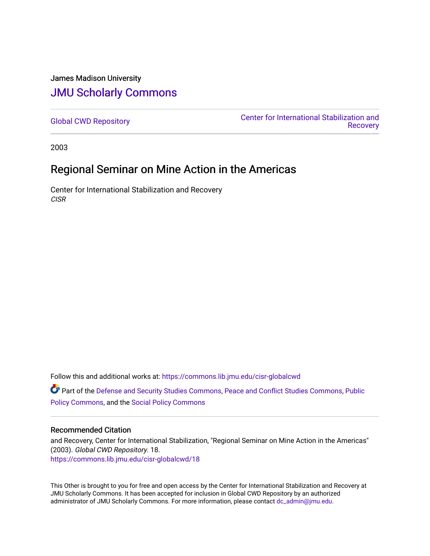## James Madison University [JMU Scholarly Commons](https://commons.lib.jmu.edu/)

[Global CWD Repository](https://commons.lib.jmu.edu/cisr-globalcwd) [Center for International Stabilization and](https://commons.lib.jmu.edu/cisr)  **Recovery** 

2003

# Regional Seminar on Mine Action in the Americas

Center for International Stabilization and Recovery CISR

Follow this and additional works at: [https://commons.lib.jmu.edu/cisr-globalcwd](https://commons.lib.jmu.edu/cisr-globalcwd?utm_source=commons.lib.jmu.edu%2Fcisr-globalcwd%2F18&utm_medium=PDF&utm_campaign=PDFCoverPages)

Part of the [Defense and Security Studies Commons](http://network.bepress.com/hgg/discipline/394?utm_source=commons.lib.jmu.edu%2Fcisr-globalcwd%2F18&utm_medium=PDF&utm_campaign=PDFCoverPages), [Peace and Conflict Studies Commons](http://network.bepress.com/hgg/discipline/397?utm_source=commons.lib.jmu.edu%2Fcisr-globalcwd%2F18&utm_medium=PDF&utm_campaign=PDFCoverPages), [Public](http://network.bepress.com/hgg/discipline/400?utm_source=commons.lib.jmu.edu%2Fcisr-globalcwd%2F18&utm_medium=PDF&utm_campaign=PDFCoverPages) [Policy Commons](http://network.bepress.com/hgg/discipline/400?utm_source=commons.lib.jmu.edu%2Fcisr-globalcwd%2F18&utm_medium=PDF&utm_campaign=PDFCoverPages), and the [Social Policy Commons](http://network.bepress.com/hgg/discipline/1030?utm_source=commons.lib.jmu.edu%2Fcisr-globalcwd%2F18&utm_medium=PDF&utm_campaign=PDFCoverPages)

#### Recommended Citation

and Recovery, Center for International Stabilization, "Regional Seminar on Mine Action in the Americas" (2003). Global CWD Repository. 18. [https://commons.lib.jmu.edu/cisr-globalcwd/18](https://commons.lib.jmu.edu/cisr-globalcwd/18?utm_source=commons.lib.jmu.edu%2Fcisr-globalcwd%2F18&utm_medium=PDF&utm_campaign=PDFCoverPages) 

This Other is brought to you for free and open access by the Center for International Stabilization and Recovery at JMU Scholarly Commons. It has been accepted for inclusion in Global CWD Repository by an authorized administrator of JMU Scholarly Commons. For more information, please contact [dc\\_admin@jmu.edu](mailto:dc_admin@jmu.edu).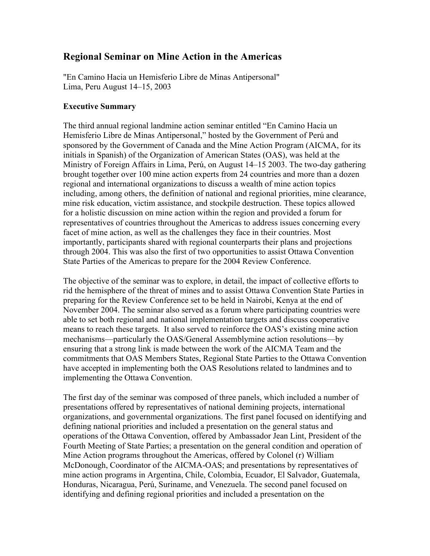### **Regional Seminar on Mine Action in the Americas**

"En Camino Hacia un Hemisferio Libre de Minas Antipersonal" Lima, Peru August 14–15, 2003

### **Executive Summary**

The third annual regional landmine action seminar entitled "En Camino Hacia un Hemisferio Libre de Minas Antipersonal," hosted by the Government of Perú and sponsored by the Government of Canada and the Mine Action Program (AICMA, for its initials in Spanish) of the Organization of American States (OAS), was held at the Ministry of Foreign Affairs in Lima, Perú, on August 14–15 2003. The two-day gathering brought together over 100 mine action experts from 24 countries and more than a dozen regional and international organizations to discuss a wealth of mine action topics including, among others, the definition of national and regional priorities, mine clearance, mine risk education, victim assistance, and stockpile destruction. These topics allowed for a holistic discussion on mine action within the region and provided a forum for representatives of countries throughout the Americas to address issues concerning every facet of mine action, as well as the challenges they face in their countries. Most importantly, participants shared with regional counterparts their plans and projections through 2004. This was also the first of two opportunities to assist Ottawa Convention State Parties of the Americas to prepare for the 2004 Review Conference.

The objective of the seminar was to explore, in detail, the impact of collective efforts to rid the hemisphere of the threat of mines and to assist Ottawa Convention State Parties in preparing for the Review Conference set to be held in Nairobi, Kenya at the end of November 2004. The seminar also served as a forum where participating countries were able to set both regional and national implementation targets and discuss cooperative means to reach these targets. It also served to reinforce the OAS's existing mine action mechanisms—particularly the OAS/General Assemblymine action resolutions—by ensuring that a strong link is made between the work of the AICMA Team and the commitments that OAS Members States, Regional State Parties to the Ottawa Convention have accepted in implementing both the OAS Resolutions related to landmines and to implementing the Ottawa Convention.

The first day of the seminar was composed of three panels, which included a number of presentations offered by representatives of national demining projects, international organizations, and governmental organizations. The first panel focused on identifying and defining national priorities and included a presentation on the general status and operations of the Ottawa Convention, offered by Ambassador Jean Lint, President of the Fourth Meeting of State Parties; a presentation on the general condition and operation of Mine Action programs throughout the Americas, offered by Colonel (r) William McDonough, Coordinator of the AICMA-OAS; and presentations by representatives of mine action programs in Argentina, Chile, Colombia, Ecuador, El Salvador, Guatemala, Honduras, Nicaragua, Perú, Suriname, and Venezuela. The second panel focused on identifying and defining regional priorities and included a presentation on the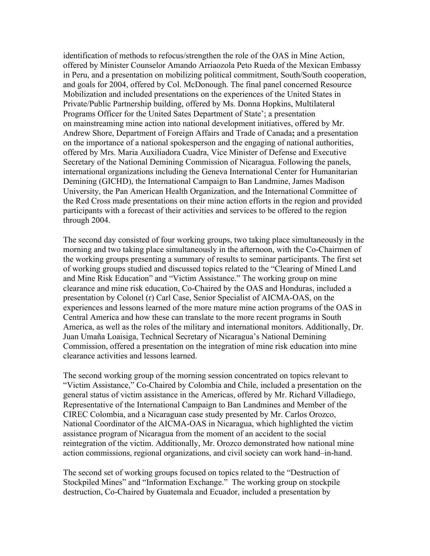identification of methods to refocus/strengthen the role of the OAS in Mine Action, offered by Minister Counselor Amando Arriaozola Peto Rueda of the Mexican Embassy in Peru, and a presentation on mobilizing political commitment, South/South cooperation, and goals for 2004, offered by Col. McDonough. The final panel concerned Resource Mobilization and included presentations on the experiences of the United States in Private/Public Partnership building, offered by Ms. Donna Hopkins, Multilateral Programs Officer for the United Sates Department of State'; a presentation on mainstreaming mine action into national development initiatives, offered by Mr. Andrew Shore, Department of Foreign Affairs and Trade of Canada**;** and a presentation on the importance of a national spokesperson and the engaging of national authorities, offered by Mrs. Maria Auxiliadora Cuadra, Vice Minister of Defense and Executive Secretary of the National Demining Commission of Nicaragua. Following the panels, international organizations including the Geneva International Center for Humanitarian Demining (GICHD), the International Campaign to Ban Landmine, James Madison University, the Pan American Health Organization, and the International Committee of the Red Cross made presentations on their mine action efforts in the region and provided participants with a forecast of their activities and services to be offered to the region through 2004.

The second day consisted of four working groups, two taking place simultaneously in the morning and two taking place simultaneously in the afternoon, with the Co-Chairmen of the working groups presenting a summary of results to seminar participants. The first set of working groups studied and discussed topics related to the "Clearing of Mined Land and Mine Risk Education" and "Victim Assistance." The working group on mine clearance and mine risk education, Co-Chaired by the OAS and Honduras, included a presentation by Colonel (r) Carl Case, Senior Specialist of AICMA-OAS, on the experiences and lessons learned of the more mature mine action programs of the OAS in Central America and how these can translate to the more recent programs in South America, as well as the roles of the military and international monitors. Additionally, Dr. Juan Umaña Loaisiga, Technical Secretary of Nicaragua's National Demining Commission, offered a presentation on the integration of mine risk education into mine clearance activities and lessons learned.

The second working group of the morning session concentrated on topics relevant to "Victim Assistance," Co-Chaired by Colombia and Chile, included a presentation on the general status of victim assistance in the Americas, offered by Mr. Richard Villadiego, Representative of the International Campaign to Ban Landmines and Member of the CIREC Colombia, and a Nicaraguan case study presented by Mr. Carlos Orozco, National Coordinator of the AICMA-OAS in Nicaragua, which highlighted the victim assistance program of Nicaragua from the moment of an accident to the social reintegration of the victim. Additionally, Mr. Orozco demonstrated how national mine action commissions, regional organizations, and civil society can work hand–in-hand.

The second set of working groups focused on topics related to the "Destruction of Stockpiled Mines" and "Information Exchange." The working group on stockpile destruction, Co-Chaired by Guatemala and Ecuador, included a presentation by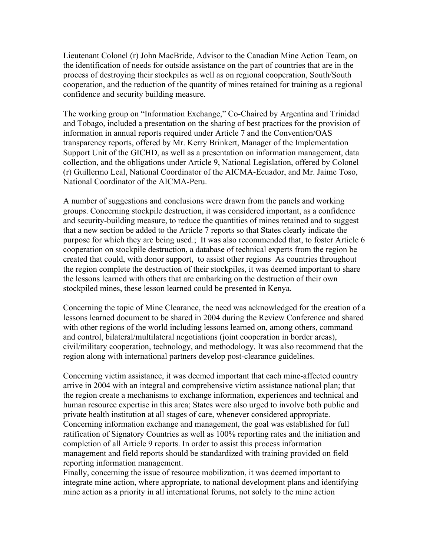Lieutenant Colonel (r) John MacBride, Advisor to the Canadian Mine Action Team, on the identification of needs for outside assistance on the part of countries that are in the process of destroying their stockpiles as well as on regional cooperation, South/South cooperation, and the reduction of the quantity of mines retained for training as a regional confidence and security building measure.

The working group on "Information Exchange," Co-Chaired by Argentina and Trinidad and Tobago, included a presentation on the sharing of best practices for the provision of information in annual reports required under Article 7 and the Convention/OAS transparency reports, offered by Mr. Kerry Brinkert, Manager of the Implementation Support Unit of the GICHD, as well as a presentation on information management, data collection, and the obligations under Article 9, National Legislation, offered by Colonel (r) Guillermo Leal, National Coordinator of the AICMA-Ecuador, and Mr. Jaime Toso, National Coordinator of the AICMA-Peru.

A number of suggestions and conclusions were drawn from the panels and working groups. Concerning stockpile destruction, it was considered important, as a confidence and security-building measure, to reduce the quantities of mines retained and to suggest that a new section be added to the Article 7 reports so that States clearly indicate the purpose for which they are being used.; It was also recommended that, to foster Article 6 cooperation on stockpile destruction, a database of technical experts from the region be created that could, with donor support, to assist other regions As countries throughout the region complete the destruction of their stockpiles, it was deemed important to share the lessons learned with others that are embarking on the destruction of their own stockpiled mines, these lesson learned could be presented in Kenya.

Concerning the topic of Mine Clearance, the need was acknowledged for the creation of a lessons learned document to be shared in 2004 during the Review Conference and shared with other regions of the world including lessons learned on, among others, command and control, bilateral/multilateral negotiations (joint cooperation in border areas), civil/military cooperation, technology, and methodology. It was also recommend that the region along with international partners develop post-clearance guidelines.

Concerning victim assistance, it was deemed important that each mine-affected country arrive in 2004 with an integral and comprehensive victim assistance national plan; that the region create a mechanisms to exchange information, experiences and technical and human resource expertise in this area; States were also urged to involve both public and private health institution at all stages of care, whenever considered appropriate. Concerning information exchange and management, the goal was established for full ratification of Signatory Countries as well as 100% reporting rates and the initiation and completion of all Article 9 reports. In order to assist this process information management and field reports should be standardized with training provided on field reporting information management.

Finally, concerning the issue of resource mobilization, it was deemed important to integrate mine action, where appropriate, to national development plans and identifying mine action as a priority in all international forums, not solely to the mine action